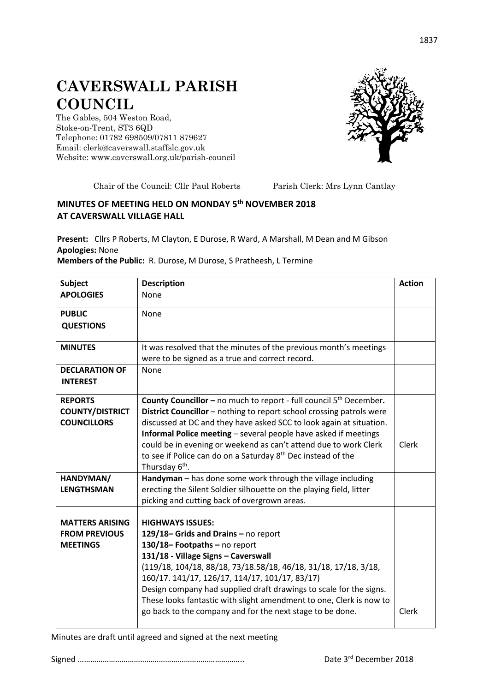## **CAVERSWALL PARISH COUNCIL**

The Gables, 504 Weston Road, Stoke-on-Trent, ST3 6QD Telephone: 01782 698509/07811 879627 Email: clerk@caverswall.staffslc.gov.uk Website: [www.c](http://www.dilhorneparishcouncil.co.uk/)averswall.org.uk/parish-council



Chair of the Council: Cllr Paul Roberts Parish Clerk: Mrs Lynn Cantlay

## **MINUTES OF MEETING HELD ON MONDAY 5 th NOVEMBER 2018 AT CAVERSWALL VILLAGE HALL**

**Present:** Cllrs P Roberts, M Clayton, E Durose, R Ward, A Marshall, M Dean and M Gibson **Apologies:** None

## **Members of the Public:** R. Durose, M Durose, S Pratheesh, L Termine

| <b>Subject</b>                                                    | <b>Description</b>                                                                                                                                                                                                                                                                                                                                                                                                                                                                     | <b>Action</b> |
|-------------------------------------------------------------------|----------------------------------------------------------------------------------------------------------------------------------------------------------------------------------------------------------------------------------------------------------------------------------------------------------------------------------------------------------------------------------------------------------------------------------------------------------------------------------------|---------------|
| <b>APOLOGIES</b>                                                  | <b>None</b>                                                                                                                                                                                                                                                                                                                                                                                                                                                                            |               |
| <b>PUBLIC</b><br><b>QUESTIONS</b>                                 | None                                                                                                                                                                                                                                                                                                                                                                                                                                                                                   |               |
| <b>MINUTES</b>                                                    | It was resolved that the minutes of the previous month's meetings<br>were to be signed as a true and correct record.                                                                                                                                                                                                                                                                                                                                                                   |               |
| <b>DECLARATION OF</b><br><b>INTEREST</b>                          | <b>None</b>                                                                                                                                                                                                                                                                                                                                                                                                                                                                            |               |
| <b>REPORTS</b><br><b>COUNTY/DISTRICT</b><br><b>COUNCILLORS</b>    | <b>County Councillor - no much to report - full council <math>5th</math> December.</b><br>District Councillor - nothing to report school crossing patrols were<br>discussed at DC and they have asked SCC to look again at situation.<br>Informal Police meeting - several people have asked if meetings<br>could be in evening or weekend as can't attend due to work Clerk<br>to see if Police can do on a Saturday 8 <sup>th</sup> Dec instead of the<br>Thursday 6 <sup>th</sup> . | Clerk         |
| HANDYMAN/<br><b>LENGTHSMAN</b>                                    | Handyman - has done some work through the village including<br>erecting the Silent Soldier silhouette on the playing field, litter<br>picking and cutting back of overgrown areas.                                                                                                                                                                                                                                                                                                     |               |
| <b>MATTERS ARISING</b><br><b>FROM PREVIOUS</b><br><b>MEETINGS</b> | <b>HIGHWAYS ISSUES:</b><br>129/18-Grids and Drains - no report<br>130/18-Footpaths-no report<br>131/18 - Village Signs - Caverswall<br>(119/18, 104/18, 88/18, 73/18.58/18, 46/18, 31/18, 17/18, 3/18,<br>160/17. 141/17, 126/17, 114/17, 101/17, 83/17)<br>Design company had supplied draft drawings to scale for the signs.<br>These looks fantastic with slight amendment to one, Clerk is now to<br>go back to the company and for the next stage to be done.                     | Clerk         |

Minutes are draft until agreed and signed at the next meeting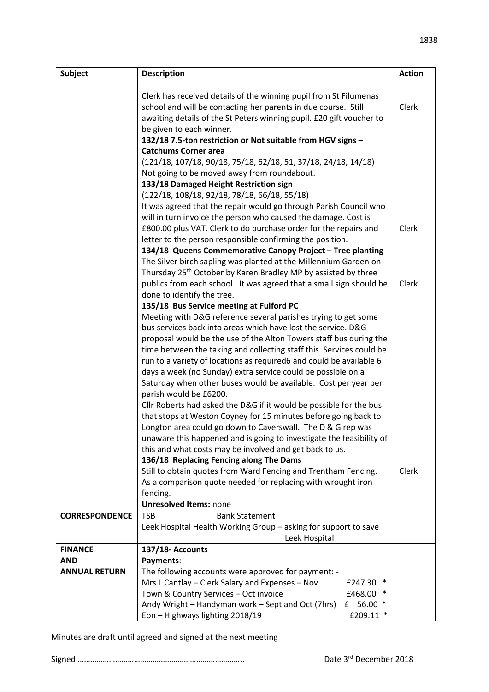| <b>Subject</b>        | <b>Description</b>                                                                                                                  | <b>Action</b> |
|-----------------------|-------------------------------------------------------------------------------------------------------------------------------------|---------------|
|                       |                                                                                                                                     |               |
|                       | Clerk has received details of the winning pupil from St Filumenas                                                                   |               |
|                       | school and will be contacting her parents in due course. Still                                                                      | Clerk         |
|                       | awaiting details of the St Peters winning pupil. £20 gift voucher to                                                                |               |
|                       | be given to each winner.                                                                                                            |               |
|                       | 132/18 7.5-ton restriction or Not suitable from HGV signs -                                                                         |               |
|                       | <b>Catchums Corner area</b>                                                                                                         |               |
|                       | (121/18, 107/18, 90/18, 75/18, 62/18, 51, 37/18, 24/18, 14/18)                                                                      |               |
|                       | Not going to be moved away from roundabout.                                                                                         |               |
|                       | 133/18 Damaged Height Restriction sign                                                                                              |               |
|                       | (122/18, 108/18, 92/18, 78/18, 66/18, 55/18)                                                                                        |               |
|                       | It was agreed that the repair would go through Parish Council who<br>will in turn invoice the person who caused the damage. Cost is |               |
|                       | £800.00 plus VAT. Clerk to do purchase order for the repairs and                                                                    | Clerk         |
|                       | letter to the person responsible confirming the position.                                                                           |               |
|                       | 134/18 Queens Commemorative Canopy Project - Tree planting                                                                          |               |
|                       | The Silver birch sapling was planted at the Millennium Garden on                                                                    |               |
|                       | Thursday 25 <sup>th</sup> October by Karen Bradley MP by assisted by three                                                          |               |
|                       | publics from each school. It was agreed that a small sign should be                                                                 | Clerk         |
|                       | done to identify the tree.                                                                                                          |               |
|                       | 135/18 Bus Service meeting at Fulford PC                                                                                            |               |
|                       | Meeting with D&G reference several parishes trying to get some                                                                      |               |
|                       | bus services back into areas which have lost the service. D&G                                                                       |               |
|                       | proposal would be the use of the Alton Towers staff bus during the                                                                  |               |
|                       | time between the taking and collecting staff this. Services could be                                                                |               |
|                       | run to a variety of locations as required6 and could be available 6                                                                 |               |
|                       | days a week (no Sunday) extra service could be possible on a                                                                        |               |
|                       | Saturday when other buses would be available. Cost per year per                                                                     |               |
|                       | parish would be £6200.                                                                                                              |               |
|                       | Cllr Roberts had asked the D&G if it would be possible for the bus                                                                  |               |
|                       | that stops at Weston Coyney for 15 minutes before going back to                                                                     |               |
|                       | Longton area could go down to Caverswall. The D & G rep was                                                                         |               |
|                       | unaware this happened and is going to investigate the feasibility of                                                                |               |
|                       | this and what costs may be involved and get back to us.                                                                             |               |
|                       | 136/18 Replacing Fencing along The Dams                                                                                             |               |
|                       | Still to obtain quotes from Ward Fencing and Trentham Fencing.<br>As a comparison quote needed for replacing with wrought iron      | Clerk         |
|                       | fencing.                                                                                                                            |               |
|                       | <b>Unresolved Items: none</b>                                                                                                       |               |
| <b>CORRESPONDENCE</b> | <b>TSB</b><br><b>Bank Statement</b>                                                                                                 |               |
|                       | Leek Hospital Health Working Group - asking for support to save                                                                     |               |
|                       | Leek Hospital                                                                                                                       |               |
| <b>FINANCE</b>        | 137/18- Accounts                                                                                                                    |               |
| <b>AND</b>            | Payments:                                                                                                                           |               |
| <b>ANNUAL RETURN</b>  | The following accounts were approved for payment: -                                                                                 |               |
|                       | Mrs L Cantlay - Clerk Salary and Expenses - Nov<br>£247.30                                                                          |               |
|                       | Town & Country Services - Oct invoice<br>£468.00                                                                                    |               |
|                       | Andy Wright - Handyman work - Sept and Oct (7hrs)<br>56.00 *<br>£                                                                   |               |
|                       | Eon - Highways lighting 2018/19<br>£209.11 *                                                                                        |               |

Minutes are draft until agreed and signed at the next meeting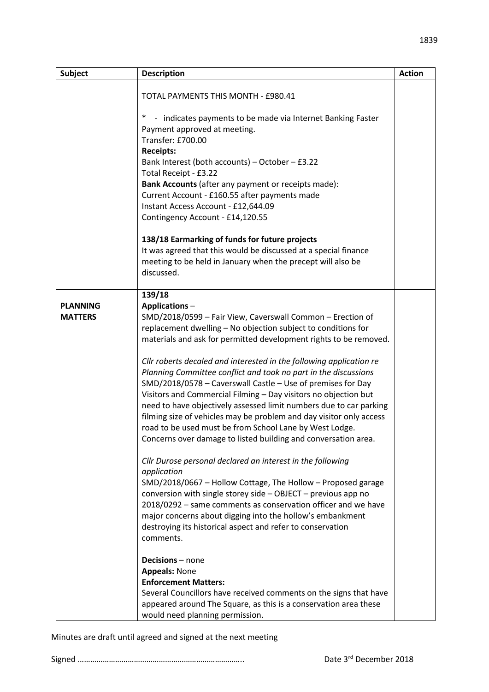| <b>Subject</b>  | <b>Description</b>                                                                                                                        | <b>Action</b> |
|-----------------|-------------------------------------------------------------------------------------------------------------------------------------------|---------------|
|                 |                                                                                                                                           |               |
|                 | TOTAL PAYMENTS THIS MONTH - £980.41                                                                                                       |               |
|                 | $\ast$<br>- indicates payments to be made via Internet Banking Faster                                                                     |               |
|                 | Payment approved at meeting.                                                                                                              |               |
|                 | Transfer: £700.00                                                                                                                         |               |
|                 | <b>Receipts:</b>                                                                                                                          |               |
|                 | Bank Interest (both accounts) - October - £3.22<br>Total Receipt - £3.22                                                                  |               |
|                 | Bank Accounts (after any payment or receipts made):                                                                                       |               |
|                 | Current Account - £160.55 after payments made                                                                                             |               |
|                 | Instant Access Account - £12,644.09                                                                                                       |               |
|                 | Contingency Account - £14,120.55                                                                                                          |               |
|                 | 138/18 Earmarking of funds for future projects                                                                                            |               |
|                 | It was agreed that this would be discussed at a special finance                                                                           |               |
|                 | meeting to be held in January when the precept will also be                                                                               |               |
|                 | discussed.                                                                                                                                |               |
|                 | 139/18                                                                                                                                    |               |
| <b>PLANNING</b> | Applications-                                                                                                                             |               |
| <b>MATTERS</b>  | SMD/2018/0599 - Fair View, Caverswall Common - Erection of                                                                                |               |
|                 | replacement dwelling - No objection subject to conditions for<br>materials and ask for permitted development rights to be removed.        |               |
|                 |                                                                                                                                           |               |
|                 | Cllr roberts decaled and interested in the following application re                                                                       |               |
|                 | Planning Committee conflict and took no part in the discussions                                                                           |               |
|                 | SMD/2018/0578 - Caverswall Castle - Use of premises for Day                                                                               |               |
|                 | Visitors and Commercial Filming - Day visitors no objection but                                                                           |               |
|                 | need to have objectively assessed limit numbers due to car parking<br>filming size of vehicles may be problem and day visitor only access |               |
|                 | road to be used must be from School Lane by West Lodge.                                                                                   |               |
|                 | Concerns over damage to listed building and conversation area.                                                                            |               |
|                 |                                                                                                                                           |               |
|                 | Cllr Durose personal declared an interest in the following                                                                                |               |
|                 | application<br>SMD/2018/0667 - Hollow Cottage, The Hollow - Proposed garage                                                               |               |
|                 | conversion with single storey side - OBJECT - previous app no                                                                             |               |
|                 | 2018/0292 – same comments as conservation officer and we have                                                                             |               |
|                 | major concerns about digging into the hollow's embankment                                                                                 |               |
|                 | destroying its historical aspect and refer to conservation                                                                                |               |
|                 | comments.                                                                                                                                 |               |
|                 | Decisions - none                                                                                                                          |               |
|                 | <b>Appeals: None</b>                                                                                                                      |               |
|                 | <b>Enforcement Matters:</b>                                                                                                               |               |
|                 | Several Councillors have received comments on the signs that have                                                                         |               |
|                 | appeared around The Square, as this is a conservation area these<br>would need planning permission.                                       |               |

Minutes are draft until agreed and signed at the next meeting